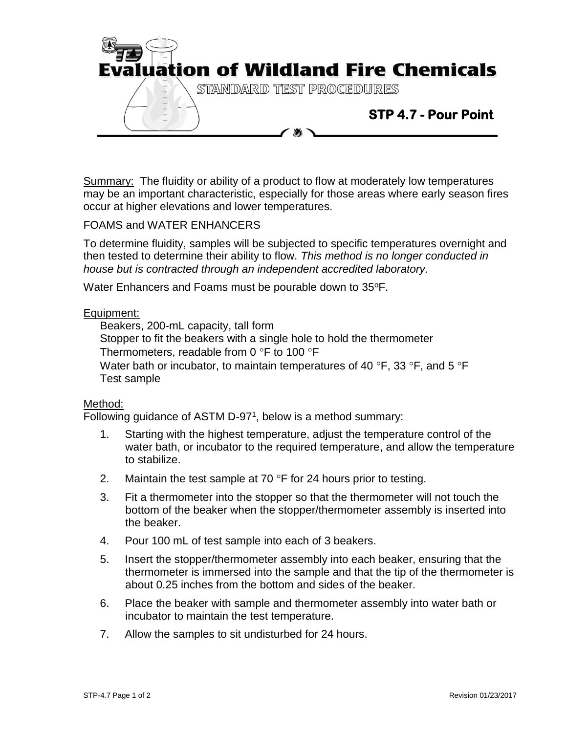

Summary: The fluidity or ability of a product to flow at moderately low temperatures may be an important characteristic, especially for those areas where early season fires occur at higher elevations and lower temperatures.

## FOAMS and WATER ENHANCERS

To determine fluidity, samples will be subjected to specific temperatures overnight and then tested to determine their ability to flow. *This method is no longer conducted in house but is contracted through an independent accredited laboratory.*

Water Enhancers and Foams must be pourable down to 35°F.

## Equipment:

Beakers, 200-mL capacity, tall form

Stopper to fit the beakers with a single hole to hold the thermometer

Thermometers, readable from 0  $\degree$ F to 100  $\degree$ F

Water bath or incubator, to maintain temperatures of 40  $\degree$ F, 33  $\degree$ F, and 5  $\degree$ F Test sample

## Method:

Following guidance of ASTM D-97<sup>1</sup>, below is a method summary:

- 1. Starting with the highest temperature, adjust the temperature control of the water bath, or incubator to the required temperature, and allow the temperature to stabilize.
- 2. Maintain the test sample at 70  $\degree$ F for 24 hours prior to testing.
- 3. Fit a thermometer into the stopper so that the thermometer will not touch the bottom of the beaker when the stopper/thermometer assembly is inserted into the beaker.
- 4. Pour 100 mL of test sample into each of 3 beakers.
- 5. Insert the stopper/thermometer assembly into each beaker, ensuring that the thermometer is immersed into the sample and that the tip of the thermometer is about 0.25 inches from the bottom and sides of the beaker.
- 6. Place the beaker with sample and thermometer assembly into water bath or incubator to maintain the test temperature.
- 7. Allow the samples to sit undisturbed for 24 hours.